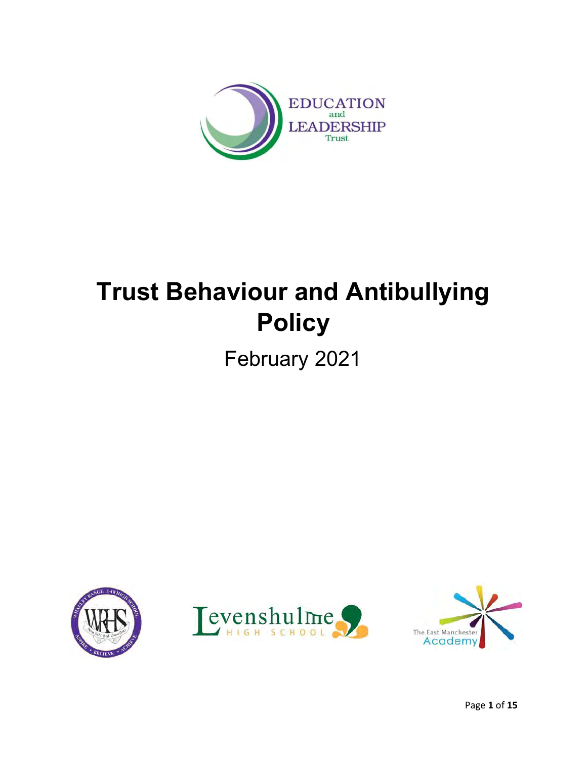

# **Trust Behaviour and Antibullying Policy**

February 2021





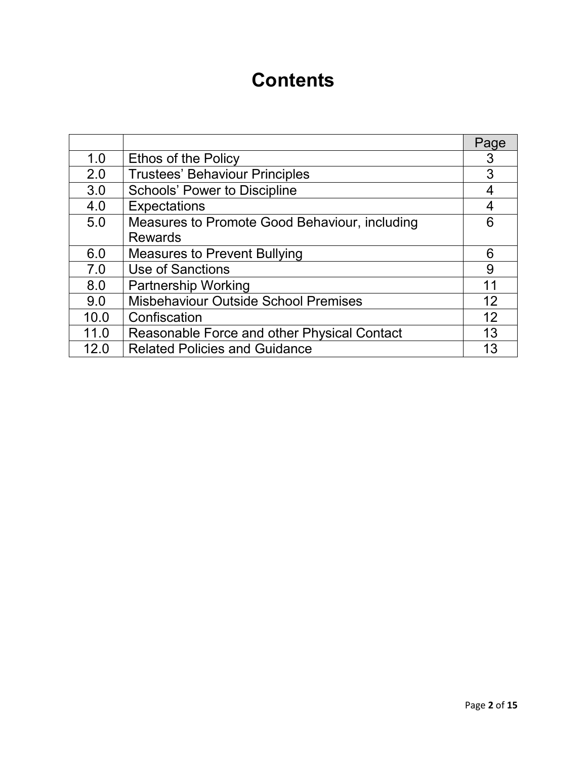## **Contents**

|      |                                               | Page |
|------|-----------------------------------------------|------|
| 1.0  | <b>Ethos of the Policy</b>                    | 3    |
| 2.0  | <b>Trustees' Behaviour Principles</b>         | 3    |
| 3.0  | <b>Schools' Power to Discipline</b>           |      |
| 4.0  | <b>Expectations</b>                           | 4    |
| 5.0  | Measures to Promote Good Behaviour, including | 6    |
|      | <b>Rewards</b>                                |      |
| 6.0  | <b>Measures to Prevent Bullying</b>           | 6    |
| 7.0  | Use of Sanctions                              | 9    |
| 8.0  | <b>Partnership Working</b>                    | 11   |
| 9.0  | <b>Misbehaviour Outside School Premises</b>   | 12   |
| 10.0 | Confiscation                                  | 12   |
| 11.0 | Reasonable Force and other Physical Contact   | 13   |
| 12.0 | <b>Related Policies and Guidance</b>          | 13   |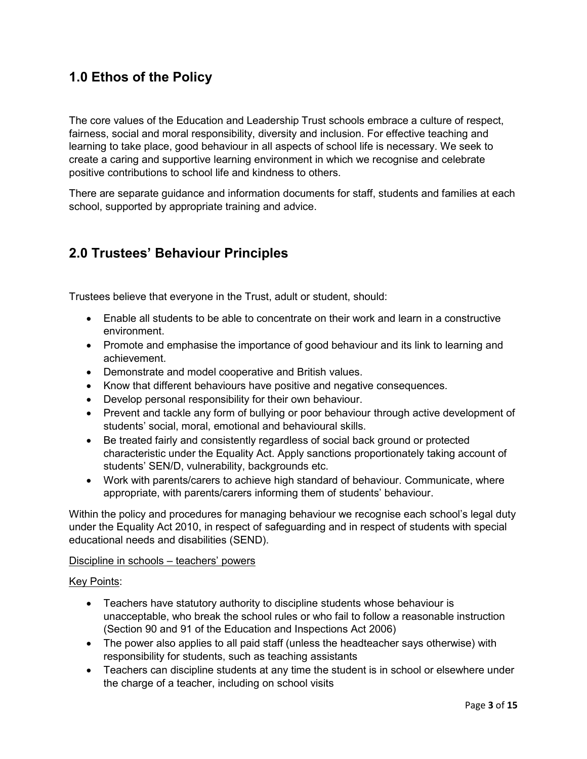### **1.0 Ethos of the Policy**

The core values of the Education and Leadership Trust schools embrace a culture of respect, fairness, social and moral responsibility, diversity and inclusion. For effective teaching and learning to take place, good behaviour in all aspects of school life is necessary. We seek to create a caring and supportive learning environment in which we recognise and celebrate positive contributions to school life and kindness to others.

There are separate guidance and information documents for staff, students and families at each school, supported by appropriate training and advice.

### **2.0 Trustees' Behaviour Principles**

Trustees believe that everyone in the Trust, adult or student, should:

- Enable all students to be able to concentrate on their work and learn in a constructive environment.
- Promote and emphasise the importance of good behaviour and its link to learning and achievement.
- Demonstrate and model cooperative and British values.
- Know that different behaviours have positive and negative consequences.
- Develop personal responsibility for their own behaviour.
- Prevent and tackle any form of bullying or poor behaviour through active development of students' social, moral, emotional and behavioural skills.
- Be treated fairly and consistently regardless of social back ground or protected characteristic under the Equality Act. Apply sanctions proportionately taking account of students' SEN/D, vulnerability, backgrounds etc.
- Work with parents/carers to achieve high standard of behaviour. Communicate, where appropriate, with parents/carers informing them of students' behaviour.

Within the policy and procedures for managing behaviour we recognise each school's legal duty under the Equality Act 2010, in respect of safeguarding and in respect of students with special educational needs and disabilities (SEND).

#### Discipline in schools – teachers' powers

#### Key Points:

- Teachers have statutory authority to discipline students whose behaviour is unacceptable, who break the school rules or who fail to follow a reasonable instruction (Section 90 and 91 of the Education and Inspections Act 2006)
- The power also applies to all paid staff (unless the headteacher says otherwise) with responsibility for students, such as teaching assistants
- Teachers can discipline students at any time the student is in school or elsewhere under the charge of a teacher, including on school visits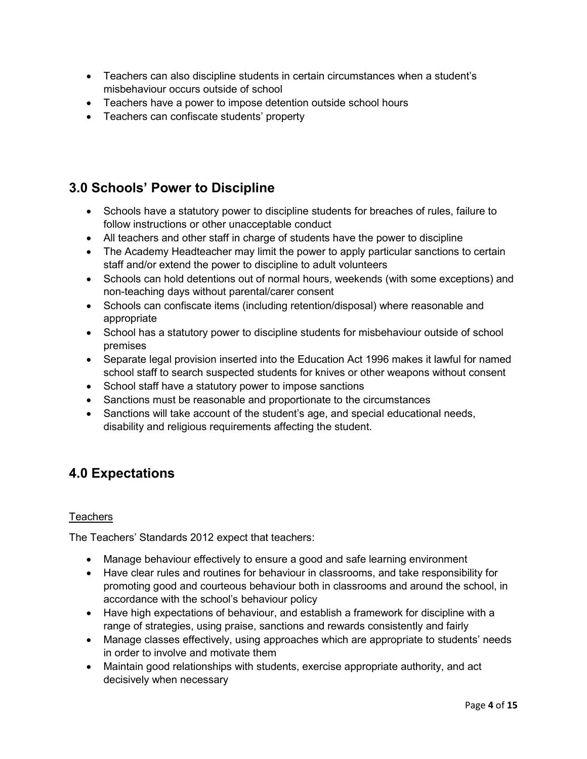- Teachers can also discipline students in certain circumstances when a student's misbehaviour occurs outside of school
- Teachers have a power to impose detention outside school hours
- Teachers can confiscate students' property

### **3.0 Schools' Power to Discipline**

- Schools have a statutory power to discipline students for breaches of rules, failure to follow instructions or other unacceptable conduct
- All teachers and other staff in charge of students have the power to discipline
- The Academy Headteacher may limit the power to apply particular sanctions to certain staff and/or extend the power to discipline to adult volunteers
- Schools can hold detentions out of normal hours, weekends (with some exceptions) and non-teaching days without parental/carer consent
- Schools can confiscate items (including retention/disposal) where reasonable and appropriate
- School has a statutory power to discipline students for misbehaviour outside of school premises
- Separate legal provision inserted into the Education Act 1996 makes it lawful for named school staff to search suspected students for knives or other weapons without consent
- School staff have a statutory power to impose sanctions
- Sanctions must be reasonable and proportionate to the circumstances
- Sanctions will take account of the student's age, and special educational needs, disability and religious requirements affecting the student.

### **4.0 Expectations**

#### **Teachers**

The Teachers' Standards 2012 expect that teachers:

- Manage behaviour effectively to ensure a good and safe learning environment
- Have clear rules and routines for behaviour in classrooms, and take responsibility for promoting good and courteous behaviour both in classrooms and around the school, in accordance with the school's behaviour policy
- Have high expectations of behaviour, and establish a framework for discipline with a range of strategies, using praise, sanctions and rewards consistently and fairly
- Manage classes effectively, using approaches which are appropriate to students' needs in order to involve and motivate them
- Maintain good relationships with students, exercise appropriate authority, and act decisively when necessary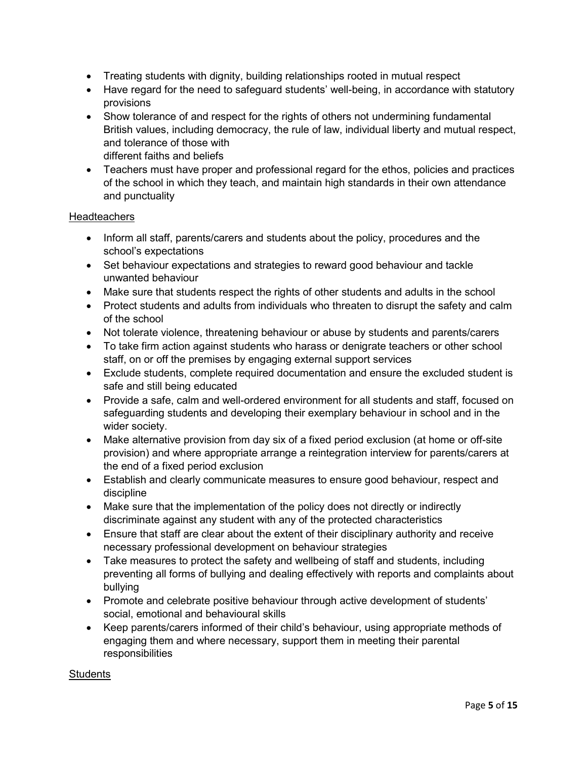- Treating students with dignity, building relationships rooted in mutual respect
- Have regard for the need to safeguard students' well-being, in accordance with statutory provisions
- Show tolerance of and respect for the rights of others not undermining fundamental British values, including democracy, the rule of law, individual liberty and mutual respect, and tolerance of those with different faiths and beliefs
- Teachers must have proper and professional regard for the ethos, policies and practices of the school in which they teach, and maintain high standards in their own attendance and punctuality

#### **Headteachers**

- Inform all staff, parents/carers and students about the policy, procedures and the school's expectations
- Set behaviour expectations and strategies to reward good behaviour and tackle unwanted behaviour
- Make sure that students respect the rights of other students and adults in the school
- Protect students and adults from individuals who threaten to disrupt the safety and calm of the school
- Not tolerate violence, threatening behaviour or abuse by students and parents/carers
- To take firm action against students who harass or denigrate teachers or other school staff, on or off the premises by engaging external support services
- Exclude students, complete required documentation and ensure the excluded student is safe and still being educated
- Provide a safe, calm and well-ordered environment for all students and staff, focused on safeguarding students and developing their exemplary behaviour in school and in the wider society.
- Make alternative provision from day six of a fixed period exclusion (at home or off-site provision) and where appropriate arrange a reintegration interview for parents/carers at the end of a fixed period exclusion
- Establish and clearly communicate measures to ensure good behaviour, respect and discipline
- Make sure that the implementation of the policy does not directly or indirectly discriminate against any student with any of the protected characteristics
- Ensure that staff are clear about the extent of their disciplinary authority and receive necessary professional development on behaviour strategies
- Take measures to protect the safety and wellbeing of staff and students, including preventing all forms of bullying and dealing effectively with reports and complaints about bullying
- Promote and celebrate positive behaviour through active development of students' social, emotional and behavioural skills
- Keep parents/carers informed of their child's behaviour, using appropriate methods of engaging them and where necessary, support them in meeting their parental responsibilities

#### **Students**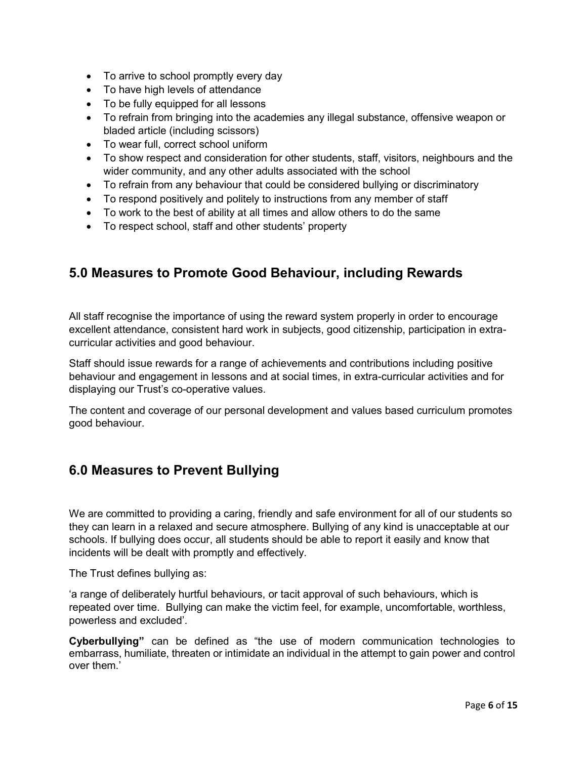- To arrive to school promptly every day
- To have high levels of attendance
- To be fully equipped for all lessons
- To refrain from bringing into the academies any illegal substance, offensive weapon or bladed article (including scissors)
- To wear full, correct school uniform
- To show respect and consideration for other students, staff, visitors, neighbours and the wider community, and any other adults associated with the school
- To refrain from any behaviour that could be considered bullying or discriminatory
- To respond positively and politely to instructions from any member of staff
- To work to the best of ability at all times and allow others to do the same
- To respect school, staff and other students' property

### **5.0 Measures to Promote Good Behaviour, including Rewards**

All staff recognise the importance of using the reward system properly in order to encourage excellent attendance, consistent hard work in subjects, good citizenship, participation in extracurricular activities and good behaviour.

Staff should issue rewards for a range of achievements and contributions including positive behaviour and engagement in lessons and at social times, in extra-curricular activities and for displaying our Trust's co-operative values.

The content and coverage of our personal development and values based curriculum promotes good behaviour.

### **6.0 Measures to Prevent Bullying**

We are committed to providing a caring, friendly and safe environment for all of our students so they can learn in a relaxed and secure atmosphere. Bullying of any kind is unacceptable at our schools. If bullying does occur, all students should be able to report it easily and know that incidents will be dealt with promptly and effectively.

The Trust defines bullying as:

'a range of deliberately hurtful behaviours, or tacit approval of such behaviours, which is repeated over time. Bullying can make the victim feel, for example, uncomfortable, worthless, powerless and excluded'.

**Cyberbullying"** can be defined as "the use of modern communication technologies to embarrass, humiliate, threaten or intimidate an individual in the attempt to gain power and control over them.'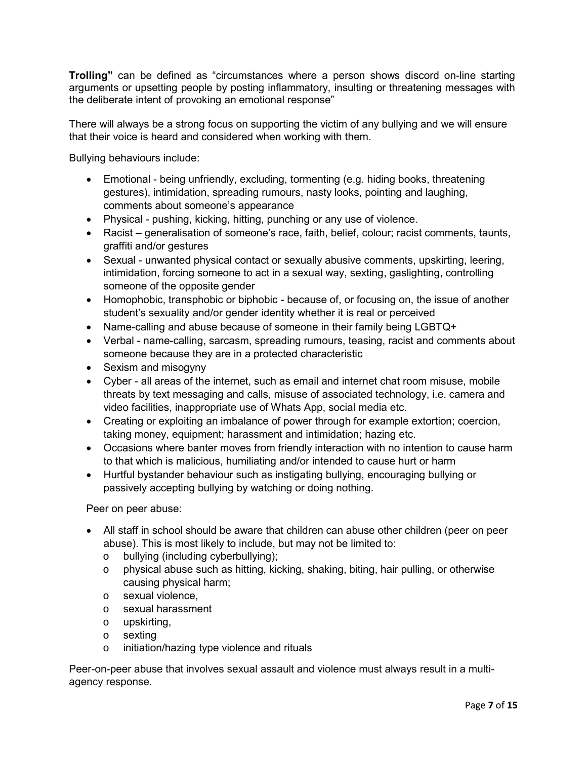**Trolling"** can be defined as "circumstances where a person shows discord on-line starting arguments or upsetting people by posting inflammatory, insulting or threatening messages with the deliberate intent of provoking an emotional response"

There will always be a strong focus on supporting the victim of any bullying and we will ensure that their voice is heard and considered when working with them.

Bullying behaviours include:

- Emotional being unfriendly, excluding, tormenting (e.g. hiding books, threatening gestures), intimidation, spreading rumours, nasty looks, pointing and laughing, comments about someone's appearance
- Physical pushing, kicking, hitting, punching or any use of violence.
- Racist generalisation of someone's race, faith, belief, colour; racist comments, taunts, graffiti and/or gestures
- Sexual unwanted physical contact or sexually abusive comments, upskirting, leering, intimidation, forcing someone to act in a sexual way, sexting, gaslighting, controlling someone of the opposite gender
- Homophobic, transphobic or biphobic because of, or focusing on, the issue of another student's sexuality and/or gender identity whether it is real or perceived
- Name-calling and abuse because of someone in their family being LGBTQ+
- Verbal name-calling, sarcasm, spreading rumours, teasing, racist and comments about someone because they are in a protected characteristic
- Sexism and misogyny
- Cyber all areas of the internet, such as email and internet chat room misuse, mobile threats by text messaging and calls, misuse of associated technology, i.e. camera and video facilities, inappropriate use of Whats App, social media etc.
- Creating or exploiting an imbalance of power through for example extortion; coercion, taking money, equipment; harassment and intimidation; hazing etc.
- Occasions where banter moves from friendly interaction with no intention to cause harm to that which is malicious, humiliating and/or intended to cause hurt or harm
- Hurtful bystander behaviour such as instigating bullying, encouraging bullying or passively accepting bullying by watching or doing nothing.

Peer on peer abuse:

- All staff in school should be aware that children can abuse other children (peer on peer abuse). This is most likely to include, but may not be limited to:
	- o bullying (including cyberbullying);
	- o physical abuse such as hitting, kicking, shaking, biting, hair pulling, or otherwise causing physical harm;
	- o sexual violence,
	- o sexual harassment
	- o upskirting,
	- o sexting
	- o initiation/hazing type violence and rituals

Peer-on-peer abuse that involves sexual assault and violence must always result in a multiagency response.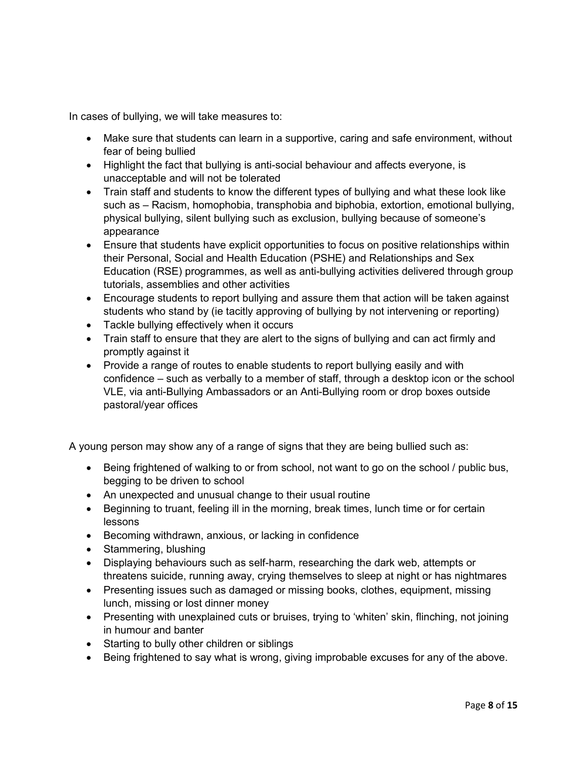In cases of bullying, we will take measures to:

- Make sure that students can learn in a supportive, caring and safe environment, without fear of being bullied
- Highlight the fact that bullying is anti-social behaviour and affects everyone, is unacceptable and will not be tolerated
- Train staff and students to know the different types of bullying and what these look like such as – Racism, homophobia, transphobia and biphobia, extortion, emotional bullying, physical bullying, silent bullying such as exclusion, bullying because of someone's appearance
- Ensure that students have explicit opportunities to focus on positive relationships within their Personal, Social and Health Education (PSHE) and Relationships and Sex Education (RSE) programmes, as well as anti-bullying activities delivered through group tutorials, assemblies and other activities
- Encourage students to report bullying and assure them that action will be taken against students who stand by (ie tacitly approving of bullying by not intervening or reporting)
- Tackle bullying effectively when it occurs
- Train staff to ensure that they are alert to the signs of bullying and can act firmly and promptly against it
- Provide a range of routes to enable students to report bullying easily and with confidence – such as verbally to a member of staff, through a desktop icon or the school VLE, via anti-Bullying Ambassadors or an Anti-Bullying room or drop boxes outside pastoral/year offices

A young person may show any of a range of signs that they are being bullied such as:

- Being frightened of walking to or from school, not want to go on the school / public bus, begging to be driven to school
- An unexpected and unusual change to their usual routine
- Beginning to truant, feeling ill in the morning, break times, lunch time or for certain lessons
- Becoming withdrawn, anxious, or lacking in confidence
- Stammering, blushing
- Displaying behaviours such as self-harm, researching the dark web, attempts or threatens suicide, running away, crying themselves to sleep at night or has nightmares
- Presenting issues such as damaged or missing books, clothes, equipment, missing lunch, missing or lost dinner money
- Presenting with unexplained cuts or bruises, trying to 'whiten' skin, flinching, not joining in humour and banter
- Starting to bully other children or siblings
- Being frightened to say what is wrong, giving improbable excuses for any of the above.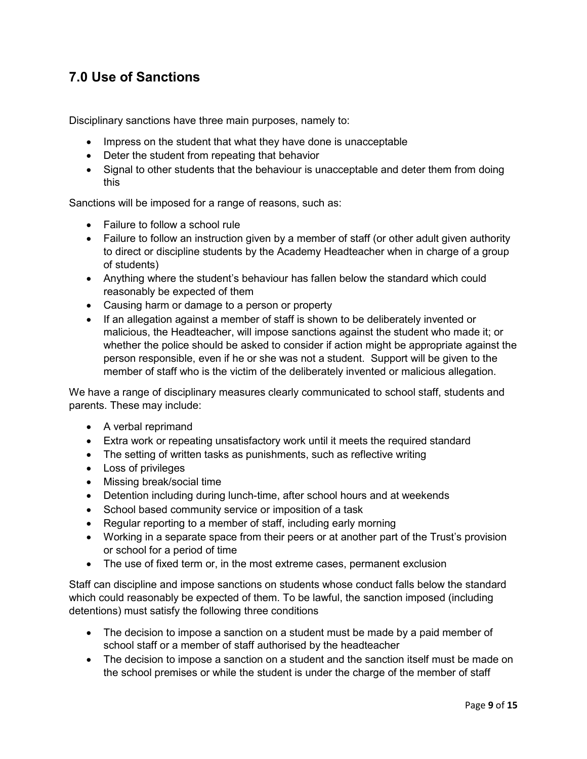### **7.0 Use of Sanctions**

Disciplinary sanctions have three main purposes, namely to:

- Impress on the student that what they have done is unacceptable
- Deter the student from repeating that behavior
- Signal to other students that the behaviour is unacceptable and deter them from doing this

Sanctions will be imposed for a range of reasons, such as:

- Failure to follow a school rule
- Failure to follow an instruction given by a member of staff (or other adult given authority to direct or discipline students by the Academy Headteacher when in charge of a group of students)
- Anything where the student's behaviour has fallen below the standard which could reasonably be expected of them
- Causing harm or damage to a person or property
- If an allegation against a member of staff is shown to be deliberately invented or malicious, the Headteacher, will impose sanctions against the student who made it; or whether the police should be asked to consider if action might be appropriate against the person responsible, even if he or she was not a student. Support will be given to the member of staff who is the victim of the deliberately invented or malicious allegation.

We have a range of disciplinary measures clearly communicated to school staff, students and parents. These may include:

- A verbal reprimand
- Extra work or repeating unsatisfactory work until it meets the required standard
- The setting of written tasks as punishments, such as reflective writing
- Loss of privileges
- Missing break/social time
- Detention including during lunch-time, after school hours and at weekends
- School based community service or imposition of a task
- Regular reporting to a member of staff, including early morning
- Working in a separate space from their peers or at another part of the Trust's provision or school for a period of time
- The use of fixed term or, in the most extreme cases, permanent exclusion

Staff can discipline and impose sanctions on students whose conduct falls below the standard which could reasonably be expected of them. To be lawful, the sanction imposed (including detentions) must satisfy the following three conditions

- The decision to impose a sanction on a student must be made by a paid member of school staff or a member of staff authorised by the headteacher
- The decision to impose a sanction on a student and the sanction itself must be made on the school premises or while the student is under the charge of the member of staff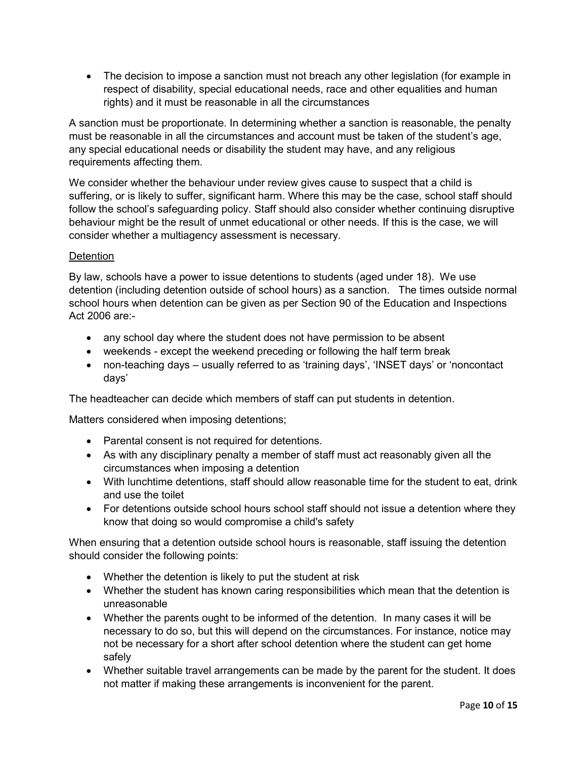• The decision to impose a sanction must not breach any other legislation (for example in respect of disability, special educational needs, race and other equalities and human rights) and it must be reasonable in all the circumstances

A sanction must be proportionate. In determining whether a sanction is reasonable, the penalty must be reasonable in all the circumstances and account must be taken of the student's age, any special educational needs or disability the student may have, and any religious requirements affecting them.

We consider whether the behaviour under review gives cause to suspect that a child is suffering, or is likely to suffer, significant harm. Where this may be the case, school staff should follow the school's safeguarding policy. Staff should also consider whether continuing disruptive behaviour might be the result of unmet educational or other needs. If this is the case, we will consider whether a multiagency assessment is necessary.

#### **Detention**

By law, schools have a power to issue detentions to students (aged under 18). We use detention (including detention outside of school hours) as a sanction. The times outside normal school hours when detention can be given as per Section 90 of the Education and Inspections Act 2006 are:-

- any school day where the student does not have permission to be absent
- weekends except the weekend preceding or following the half term break
- non-teaching days usually referred to as 'training days', 'INSET days' or 'noncontact days'

The headteacher can decide which members of staff can put students in detention.

Matters considered when imposing detentions;

- Parental consent is not required for detentions.
- As with any disciplinary penalty a member of staff must act reasonably given all the circumstances when imposing a detention
- With lunchtime detentions, staff should allow reasonable time for the student to eat, drink and use the toilet
- For detentions outside school hours school staff should not issue a detention where they know that doing so would compromise a child's safety

When ensuring that a detention outside school hours is reasonable, staff issuing the detention should consider the following points:

- Whether the detention is likely to put the student at risk
- Whether the student has known caring responsibilities which mean that the detention is unreasonable
- Whether the parents ought to be informed of the detention. In many cases it will be necessary to do so, but this will depend on the circumstances. For instance, notice may not be necessary for a short after school detention where the student can get home safely
- Whether suitable travel arrangements can be made by the parent for the student. It does not matter if making these arrangements is inconvenient for the parent.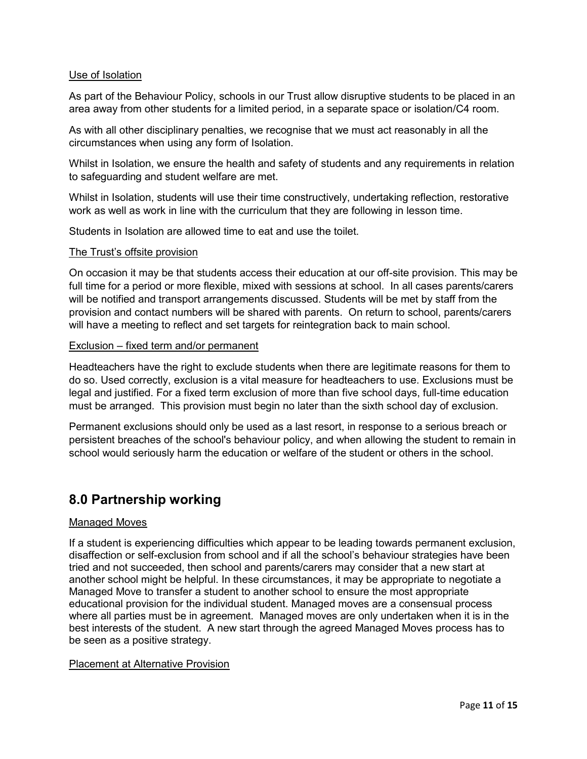#### Use of Isolation

As part of the Behaviour Policy, schools in our Trust allow disruptive students to be placed in an area away from other students for a limited period, in a separate space or isolation/C4 room.

As with all other disciplinary penalties, we recognise that we must act reasonably in all the circumstances when using any form of Isolation.

Whilst in Isolation, we ensure the health and safety of students and any requirements in relation to safeguarding and student welfare are met.

Whilst in Isolation, students will use their time constructively, undertaking reflection, restorative work as well as work in line with the curriculum that they are following in lesson time.

Students in Isolation are allowed time to eat and use the toilet.

#### The Trust's offsite provision

On occasion it may be that students access their education at our off-site provision. This may be full time for a period or more flexible, mixed with sessions at school. In all cases parents/carers will be notified and transport arrangements discussed. Students will be met by staff from the provision and contact numbers will be shared with parents. On return to school, parents/carers will have a meeting to reflect and set targets for reintegration back to main school.

#### Exclusion – fixed term and/or permanent

Headteachers have the right to exclude students when there are legitimate reasons for them to do so. Used correctly, exclusion is a vital measure for headteachers to use. Exclusions must be legal and justified. For a fixed term exclusion of more than five school days, full-time education must be arranged. This provision must begin no later than the sixth school day of exclusion.

Permanent exclusions should only be used as a last resort, in response to a serious breach or persistent breaches of the school's behaviour policy, and when allowing the student to remain in school would seriously harm the education or welfare of the student or others in the school.

### **8.0 Partnership working**

#### Managed Moves

If a student is experiencing difficulties which appear to be leading towards permanent exclusion, disaffection or self-exclusion from school and if all the school's behaviour strategies have been tried and not succeeded, then school and parents/carers may consider that a new start at another school might be helpful. In these circumstances, it may be appropriate to negotiate a Managed Move to transfer a student to another school to ensure the most appropriate educational provision for the individual student. Managed moves are a consensual process where all parties must be in agreement. Managed moves are only undertaken when it is in the best interests of the student. A new start through the agreed Managed Moves process has to be seen as a positive strategy.

#### Placement at Alternative Provision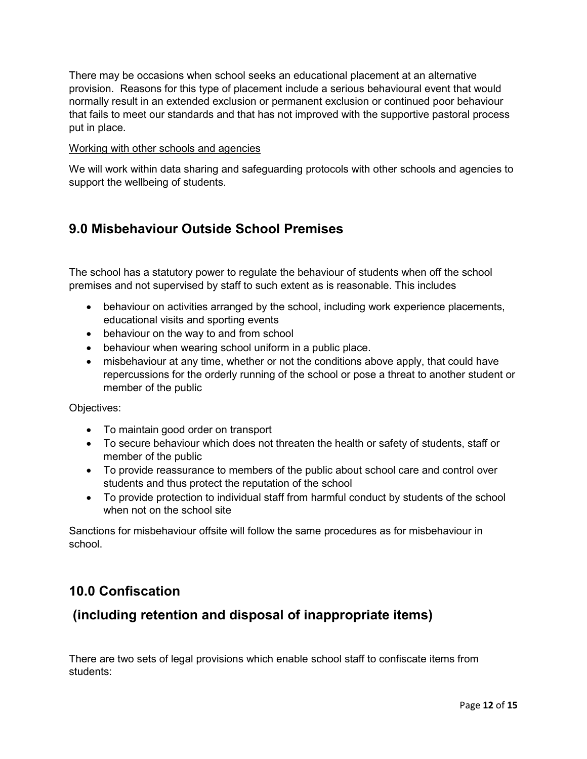There may be occasions when school seeks an educational placement at an alternative provision. Reasons for this type of placement include a serious behavioural event that would normally result in an extended exclusion or permanent exclusion or continued poor behaviour that fails to meet our standards and that has not improved with the supportive pastoral process put in place.

#### Working with other schools and agencies

We will work within data sharing and safeguarding protocols with other schools and agencies to support the wellbeing of students.

### **9.0 Misbehaviour Outside School Premises**

The school has a statutory power to regulate the behaviour of students when off the school premises and not supervised by staff to such extent as is reasonable. This includes

- behaviour on activities arranged by the school, including work experience placements, educational visits and sporting events
- behaviour on the way to and from school
- behaviour when wearing school uniform in a public place.
- misbehaviour at any time, whether or not the conditions above apply, that could have repercussions for the orderly running of the school or pose a threat to another student or member of the public

Objectives:

- To maintain good order on transport
- To secure behaviour which does not threaten the health or safety of students, staff or member of the public
- To provide reassurance to members of the public about school care and control over students and thus protect the reputation of the school
- To provide protection to individual staff from harmful conduct by students of the school when not on the school site

Sanctions for misbehaviour offsite will follow the same procedures as for misbehaviour in school.

### **10.0 Confiscation**

### **(including retention and disposal of inappropriate items)**

There are two sets of legal provisions which enable school staff to confiscate items from students: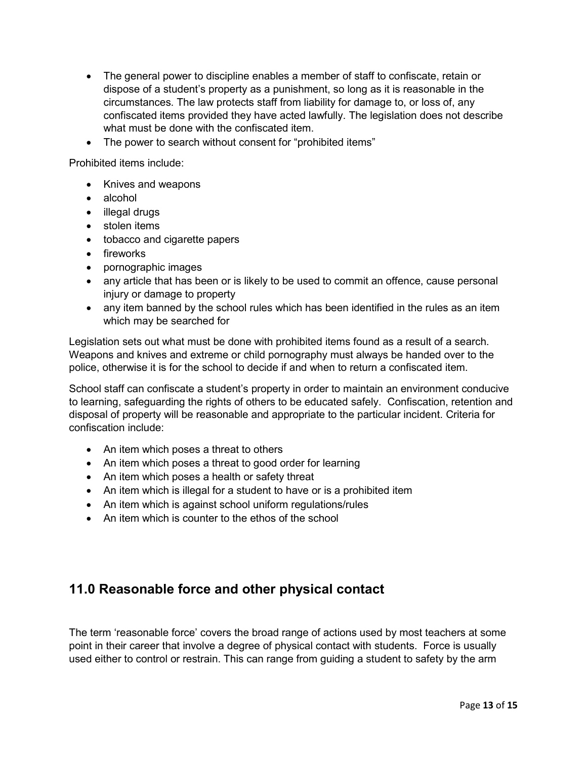- The general power to discipline enables a member of staff to confiscate, retain or dispose of a student's property as a punishment, so long as it is reasonable in the circumstances. The law protects staff from liability for damage to, or loss of, any confiscated items provided they have acted lawfully. The legislation does not describe what must be done with the confiscated item.
- The power to search without consent for "prohibited items"

Prohibited items include:

- Knives and weapons
- alcohol
- illegal drugs
- stolen items
- tobacco and cigarette papers
- fireworks
- pornographic images
- any article that has been or is likely to be used to commit an offence, cause personal injury or damage to property
- any item banned by the school rules which has been identified in the rules as an item which may be searched for

Legislation sets out what must be done with prohibited items found as a result of a search. Weapons and knives and extreme or child pornography must always be handed over to the police, otherwise it is for the school to decide if and when to return a confiscated item.

School staff can confiscate a student's property in order to maintain an environment conducive to learning, safeguarding the rights of others to be educated safely. Confiscation, retention and disposal of property will be reasonable and appropriate to the particular incident. Criteria for confiscation include:

- An item which poses a threat to others
- An item which poses a threat to good order for learning
- An item which poses a health or safety threat
- An item which is illegal for a student to have or is a prohibited item
- An item which is against school uniform regulations/rules
- An item which is counter to the ethos of the school

### **11.0 Reasonable force and other physical contact**

The term 'reasonable force' covers the broad range of actions used by most teachers at some point in their career that involve a degree of physical contact with students. Force is usually used either to control or restrain. This can range from guiding a student to safety by the arm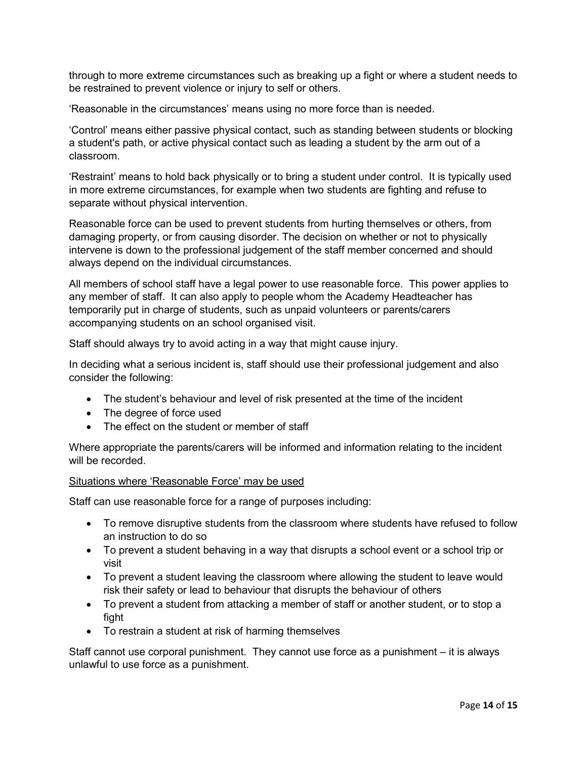through to more extreme circumstances such as breaking up a fight or where a student needs to be restrained to prevent violence or injury to self or others.

'Reasonable in the circumstances' means using no more force than is needed.

'Control' means either passive physical contact, such as standing between students or blocking a student's path, or active physical contact such as leading a student by the arm out of a classroom.

'Restraint' means to hold back physically or to bring a student under control. It is typically used in more extreme circumstances, for example when two students are fighting and refuse to separate without physical intervention.

Reasonable force can be used to prevent students from hurting themselves or others, from damaging property, or from causing disorder. The decision on whether or not to physically intervene is down to the professional judgement of the staff member concerned and should always depend on the individual circumstances.

All members of school staff have a legal power to use reasonable force. This power applies to any member of staff. It can also apply to people whom the Academy Headteacher has temporarily put in charge of students, such as unpaid volunteers or parents/carers accompanying students on an school organised visit.

Staff should always try to avoid acting in a way that might cause injury.

In deciding what a serious incident is, staff should use their professional judgement and also consider the following:

- The student's behaviour and level of risk presented at the time of the incident
- The degree of force used
- The effect on the student or member of staff

Where appropriate the parents/carers will be informed and information relating to the incident will be recorded.

#### Situations where 'Reasonable Force' may be used

Staff can use reasonable force for a range of purposes including:

- To remove disruptive students from the classroom where students have refused to follow an instruction to do so
- To prevent a student behaving in a way that disrupts a school event or a school trip or visit
- To prevent a student leaving the classroom where allowing the student to leave would risk their safety or lead to behaviour that disrupts the behaviour of others
- To prevent a student from attacking a member of staff or another student, or to stop a fight
- To restrain a student at risk of harming themselves

Staff cannot use corporal punishment. They cannot use force as a punishment – it is always unlawful to use force as a punishment.